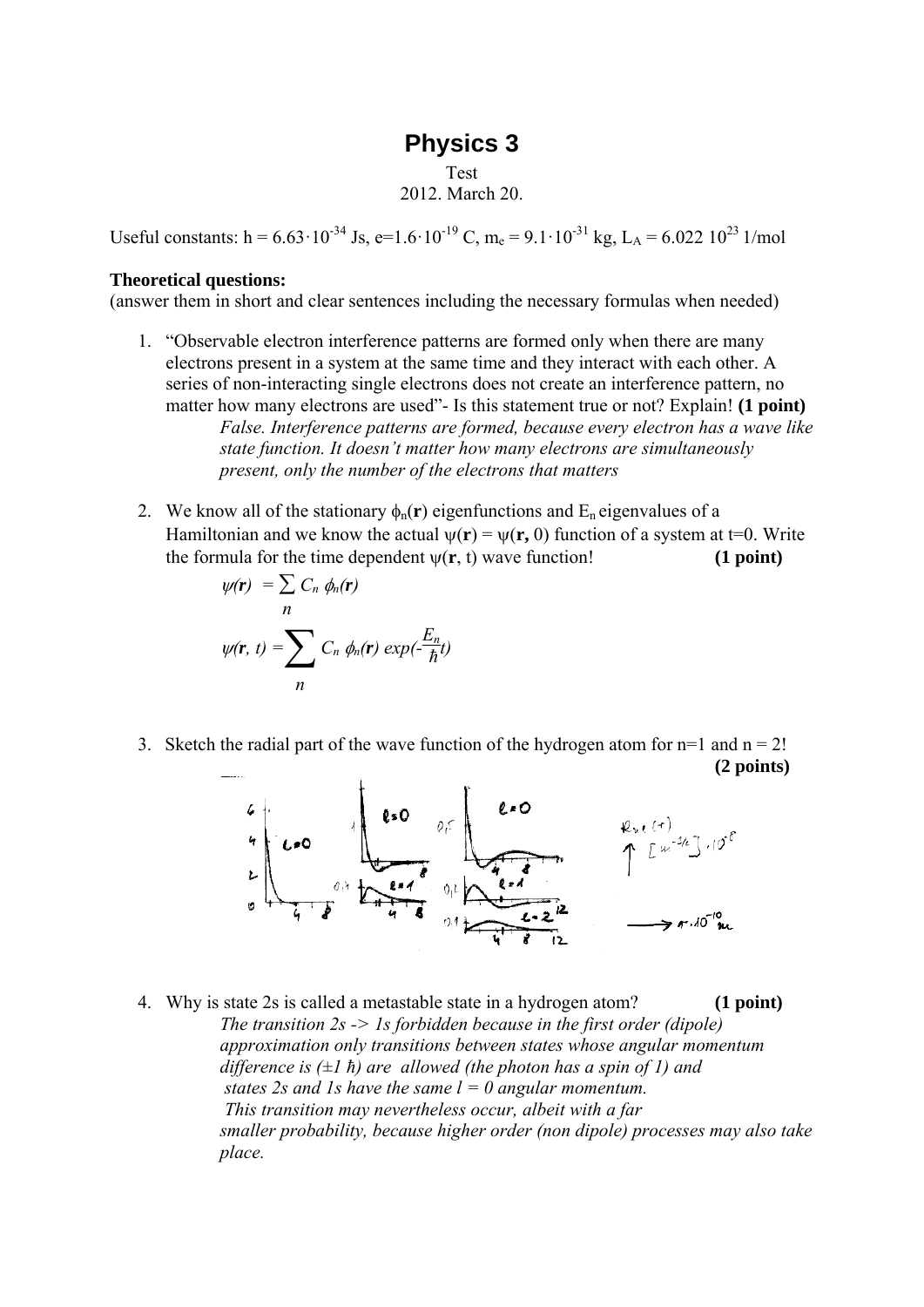## **Physics 3**

Test 2012. March 20.

Useful constants: h =  $6.63 \cdot 10^{-34}$  Js, e= $1.6 \cdot 10^{-19}$  C, m<sub>e</sub> =  $9.1 \cdot 10^{-31}$  kg, L<sub>A</sub> =  $6.022$   $10^{23}$  1/mol

## **Theoretical questions:**

(answer them in short and clear sentences including the necessary formulas when needed)

- 1. "Observable electron interference patterns are formed only when there are many electrons present in a system at the same time and they interact with each other. A series of non-interacting single electrons does not create an interference pattern, no matter how many electrons are used"- Is this statement true or not? Explain! **(1 point)** *False. Interference patterns are formed, because every electron has a wave like state function. It doesn't matter how many electrons are simultaneously present, only the number of the electrons that matters*
- 2. We know all of the stationary  $\phi_n(\mathbf{r})$  eigenfunctions and  $E_n$  eigenvalues of a Hamiltonian and we know the actual  $\psi(\mathbf{r}) = \psi(\mathbf{r}, 0)$  function of a system at t=0. Write the formula for the time dependent  $w(r, t)$  wave function! (1 point)

$$
\psi(\mathbf{r}) = \sum_{n} C_n \phi_n(\mathbf{r})
$$

$$
\psi(\mathbf{r}, t) = \sum_{n} C_n \phi_n(\mathbf{r}) \exp(-\frac{E_n}{\hbar}t)
$$

3. Sketch the radial part of the wave function of the hydrogen atom for  $n=1$  and  $n = 2!$ **(2 points)**



4. Why is state 2s is called a metastable state in a hydrogen atom? **(1 point)** *The transition 2s -> 1s forbidden because in the first order (dipole) approximation only transitions between states whose angular momentum difference is (±1 ħ) are allowed (the photon has a spin of 1) and states 2s and 1s have the same*  $l = 0$  *angular momentum. This transition may nevertheless occur, albeit with a far smaller probability, because higher order (non dipole) processes may also take place.*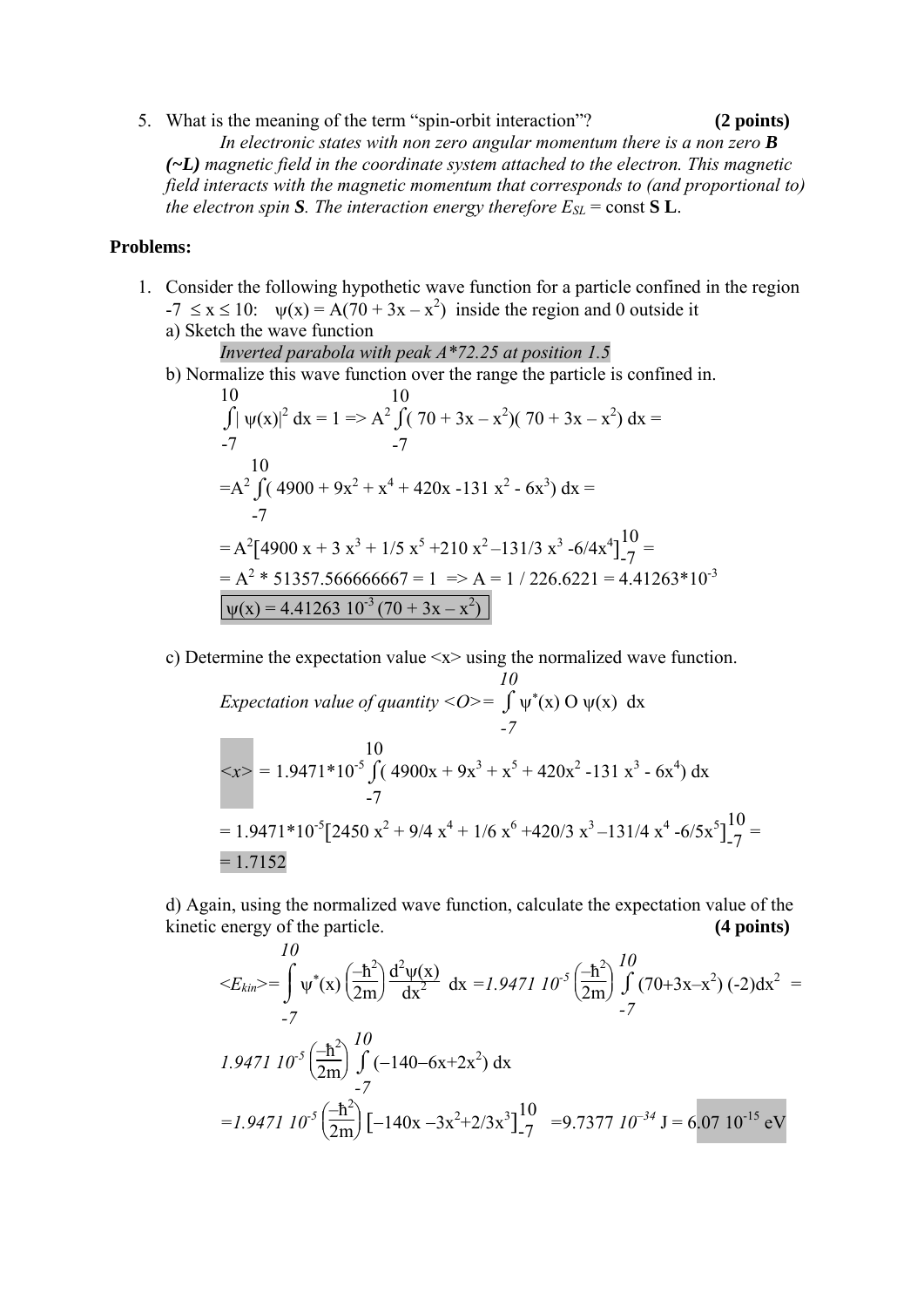5. What is the meaning of the term "spin-orbit interaction"? **(2 points)** *In electronic states with non zero angular momentum there is a non zero B (~L) magnetic field in the coordinate system attached to the electron. This magnetic field interacts with the magnetic momentum that corresponds to (and proportional to) the electron spin S. The interaction energy therefore*  $E_{SL}$  = const **S L**.

## **Problems:**

- 1. Consider the following hypothetic wave function for a particle confined in the region  $-7 \le x \le 10$ :  $\psi(x) = A(70 + 3x - x^2)$  inside the region and 0 outside it a) Sketch the wave function
	- *Inverted parabola with peak A\*72.25 at position 1.5*

b) Normalize this wave function over the range the particle is confined in.

$$
10
$$
  
\n
$$
\int |\psi(x)|^2 dx = 1 \Rightarrow A^2 \int (70 + 3x - x^2)(70 + 3x - x^2) dx =
$$
  
\n
$$
-7
$$
  
\n
$$
10
$$
  
\n
$$
= A^2 \int (4900 + 9x^2 + x^4 + 420x - 131x^2 - 6x^3) dx =
$$
  
\n
$$
-7
$$
  
\n
$$
= A^2 [4900x + 3x^3 + 1/5x^5 + 210x^2 - 131/3x^3 - 6/4x^4] \frac{10}{7} =
$$
  
\n
$$
= A^2 * 51357.566666667 = 1 \Rightarrow A = 1 / 226.6221 = 4.41263 * 10^{-3}
$$
  
\n
$$
\boxed{\psi(x) = 4.41263 \ 10^{-3} (70 + 3x - x^2)}
$$

c) Determine the expectation value <x> using the normalized wave function.

$$
I0
$$
  
\n*Expectation value of quantity* < 0> =  $\int \psi^*(x) O \psi(x) dx$   
\n-7  
\n
$$
$x>$  = 1.9471*10<sup>-5</sup>  $\int (4900x + 9x^3 + x^5 + 420x^2 - 131x^3 - 6x^4) dx$   
\n-7  
\n= 1.9471*10<sup>-5</sup> [2450 x<sup>2</sup> + 9/4 x<sup>4</sup> + 1/6 x<sup>6</sup> +420/3 x<sup>3</sup> -131/4 x<sup>4</sup> -6/5x<sup>5</sup>] $\frac{10}{7}$   
\n= 1.7152
$$

d) Again, using the normalized wave function, calculate the expectation value of the kinetic energy of the particle. **(4 points)** *10*

$$
\langle E_{kin} \rangle = \int_{-7}^{10} \psi^*(x) \left( \frac{-\hbar^2}{2m} \right) \frac{d^2 \psi(x)}{dx^2} dx = 1.9471 10^{-5} \left( \frac{-\hbar^2}{2m} \right) \int_{-7}^{10} (70+3x-x^2) (-2) dx^2 = -7
$$
  
1.9471 10<sup>-5</sup>  $\left( \frac{-\hbar^2}{2m} \right) \int_{-7}^{10} (-140-6x+2x^2) dx$   

$$
= 1.9471 10^{-5} \left( \frac{-\hbar^2}{2m} \right) \left[ -140x - 3x^2 + 2/3x^3 \right]_{-7}^{10} = 9.7377 10^{-34} J = 6.07 10^{-15} eV
$$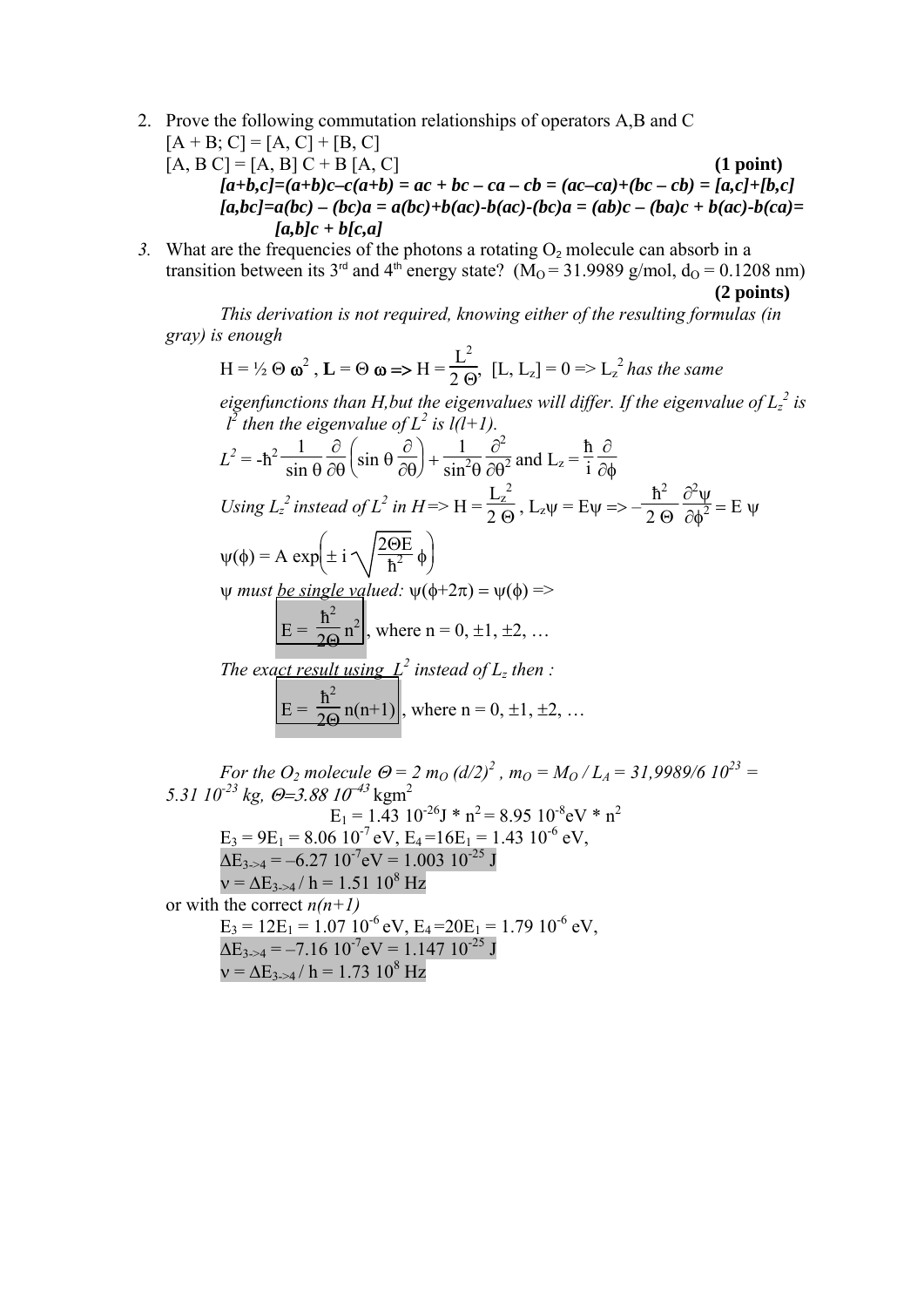- 2. Prove the following commutation relationships of operators A,B and C
	- $[A + B; C] = [A, C] + [B, C]$  $[A, B] = [A, B] C + B [A, C]$  (1 point)  $[a+b,c]=(a+b)c-c(a+b)=ac+bc-ca-cb=(ac-ca)+(bc-cb)=[a,c]+[b,c]$  $[a,bc]=a(bc)-(bc)a=a(bc)+b(ac)-b(ac)-(bc)a=(ab)c-(ba)c+b(ac)-b(ca)=$  *[a,b]c + b[c,a]*
- 3. What are the frequencies of the photons a rotating  $O_2$  molecule can absorb in a transition between its 3<sup>rd</sup> and 4<sup>th</sup> energy state? ( $M<sub>0</sub> = 31.9989$  g/mol,  $d<sub>0</sub> = 0.1208$  nm) **(2 points)**

 *This derivation is not required, knowing either of the resulting formulas (in gray) is enough*

$$
H = \frac{1}{2} \Theta \omega^2, \mathbf{L} = \Theta \omega \Rightarrow H = \frac{L^2}{2 \Theta}, [L, L_z] = 0 \Rightarrow L_z^2 \text{ has the same}
$$

*eigenfunctions than H,but the eigenvalues will differ. If the eigenvalue of*  $L_z^2$  *is*  $l^2$  then the eigenvalue of  $L^2$  is  $l(l+1)$ .

$$
L^{2} = -\hbar^{2} \frac{1}{\sin \theta} \frac{\partial}{\partial \theta} \left( \sin \theta \frac{\partial}{\partial \theta} \right) + \frac{1}{\sin^{2} \theta} \frac{\partial^{2}}{\partial \theta^{2}} \text{ and } L_{z} = \frac{\hbar}{i} \frac{\partial}{\partial \phi}
$$
  
\nUsing  $L_{z}^{2}$  instead of  $L^{2}$  in  $H = > H = \frac{L_{z}^{2}}{2 \theta}$ ,  $L_{z}\psi = E\psi = > -\frac{\hbar^{2}}{2 \theta} \frac{\partial^{2} \psi}{\partial \phi^{2}} = E \psi$   
\n $\psi(\phi) = A \exp\left(\pm i \sqrt{\frac{2\theta E}{\hbar^{2}}}\phi\right)$   
\n $\psi$  must be single valued:  $\psi(\phi + 2\pi) = \psi(\phi) = >$   
\n $E = \frac{\hbar^{2}}{2\theta} \pi^{2}$ , where  $\pi = 0, \pm 1, \pm 2, ...$   
\nThe exact result using  $L^{2}$  instead of  $L_{z}$  then :  
\n $E = \frac{\hbar^{2}}{2\theta} n(n+1)$ , where  $n = 0, \pm 1, \pm 2, ...$ 

*For the O<sub>2</sub> molecule*  $\Theta = 2 m_0 (d/2)^2$ *,*  $m_0 = M_0 / L_A = 31,9989/6 10^{23} =$  $5.31 \, 10^{-23} \, \text{kg}$ ,  $\Theta = 3.88 \, 10^{-43} \, \text{kgm}^2$  $E_1 = 1.43 \, 10^{-26} \text{J} \cdot \text{n}^2 = 8.95 \, 10^{-8} \text{eV} \cdot \text{n}^2$  $E_3 = 9E_1 = 8.06 \cdot 10^{-7}$  eV,  $E_4 = 16E_1 = 1.43 \cdot 10^{-6}$  eV,  $\Delta E_{3\rightarrow 4} = -6.27 \cdot 10^{-7}$ eV = 1.003 10<sup>-25</sup> J  $v = \Delta E_{3\rightarrow 4} / h = 1.51 10^8 Hz$ or with the correct  $n(n+1)$  $E_3 = 12E_1 = 1.07 \, 10^{-6} \, \text{eV}, E_4 = 20E_1 = 1.79 \, 10^{-6} \, \text{eV},$  $\Delta E_{3-4} = -7.16 \cdot 10^{-7}$ eV = 1.147 10<sup>-25</sup> J  $v = \Delta E_{3\rightarrow 4} / h = 1.73 10^8$  Hz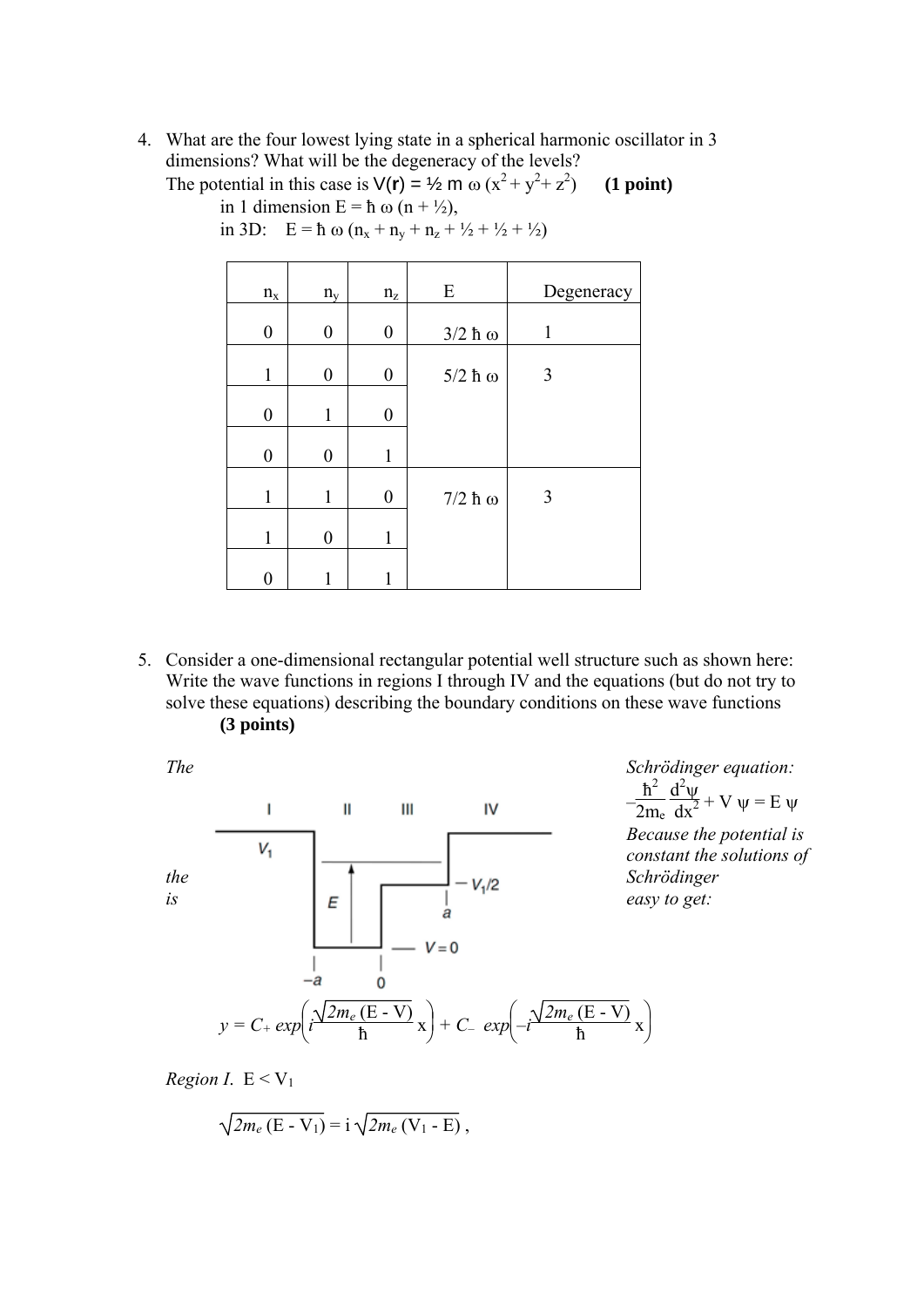4. What are the four lowest lying state in a spherical harmonic oscillator in 3 dimensions? What will be the degeneracy of the levels?

The potential in this case is  $V(\mathbf{r}) = \frac{1}{2} \mathbf{m} \omega (x^2 + y^2 + z^2)$ ) **(1 point)**  in 1 dimension  $E = h \omega (n + \frac{1}{2})$ ,

| $n_{\rm x}$      | $n_{v}$          | $\rm n_{z}$      | ${\bf E}$ | Degeneracy |
|------------------|------------------|------------------|-----------|------------|
| $\boldsymbol{0}$ | $\boldsymbol{0}$ | $\boldsymbol{0}$ | $3/2$ ħ ω | 1          |
| 1                | $\boldsymbol{0}$ | $\boldsymbol{0}$ | $5/2$ ħ ω | 3          |
| $\boldsymbol{0}$ | 1                | $\boldsymbol{0}$ |           |            |
| $\boldsymbol{0}$ | $\boldsymbol{0}$ | 1                |           |            |
| 1                | 1                | $\pmb{0}$        | $7/2$ ħ ω | 3          |
| 1                | 0                | 1                |           |            |
| 0                |                  |                  |           |            |

in 3D:  $E = \hbar \omega (n_x + n_y + n_z + \frac{1}{2} + \frac{1}{2} + \frac{1}{2})$ 

5. Consider a one-dimensional rectangular potential well structure such as shown here: Write the wave functions in regions I through IV and the equations (but do not try to solve these equations) describing the boundary conditions on these wave functions **(3 points)**

IV  $\mathbf{I}$  $\mathbf{I}$ Ш  $V_1$ *the is*  $E = \begin{bmatrix} E \\ E \end{bmatrix}$   $E = \begin{bmatrix} -V_1/2 & 3 \text{ *corroange* \end{bmatrix}$ <br>*is* easy to get:  $V = 0$ -a  $\mathbf 0$ *y = C+ exp*  $\left(i\frac{\sqrt{2m_e(E-V)}}{\hbar}\right)$  x  $\frac{(E - V)}{\hbar}x$  + C<sub>–</sub> exp(  $\left(-i\frac{\sqrt{2m_e(E-V)}}{\hbar}\right)x$ 

*The Schrödinger equation:*   $-\frac{\hbar^2}{2m_e}$  $d^2\psi$  $\frac{d^2 \psi}{dx^2} + V \psi = E \psi$ *Because the potential is constant the solutions of Schrödinger*

 $\frac{(\mathbf{b} \cdot \mathbf{r})}{\hbar} \mathbf{x}$ 

*Region I*.  $E < V_1$ 

$$
\sqrt{2m_e\left(\mathrm{E}-\mathrm{V}_1\right)}=\mathrm{i}\sqrt{2m_e\left(\mathrm{V}_1-\mathrm{E}\right)}\,,
$$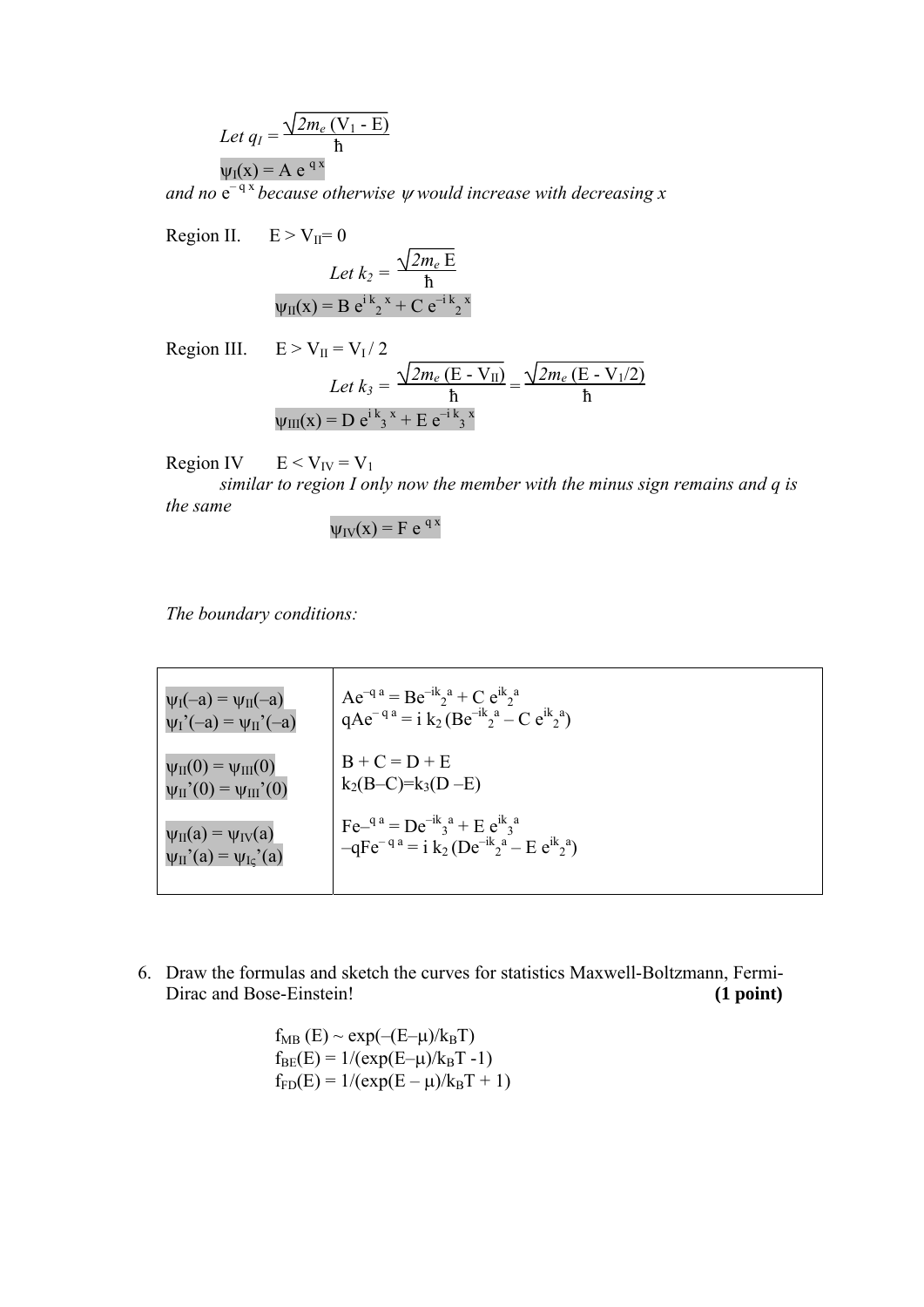Let 
$$
q_I = \frac{\sqrt{2m_e (V_1 - E)}}{\hbar}
$$
  
\n $\psi_I(x) = A e^{qx}$ 

and no  $e^{-qx}$  *because otherwise*  $\psi$  *would increase with decreasing x* 

Region II. 
$$
E > V_{II} = 0
$$

$$
Let k_2 = \frac{\sqrt{2m_e E}}{\hbar}
$$

$$
\psi_{II}(x) = B e^{i k_2 x} + C e^{-i k_2 x}
$$

Region III. 
$$
E > V_{II} = V_I / 2
$$
  
\n
$$
Let k_3 = \frac{\sqrt{2m_e (E - V_{II})}}{h} = \frac{\sqrt{2m_e (E - V_{I}/2)}}{h}
$$
\n
$$
\psi_{III}(x) = D e^{i k_3 x} + E e^{-i k_3 x}
$$

Region IV  $E < V_{IV} = V_1$ 

*similar to region I only now the member with the minus sign remains and q is the same*

$$
\psi_{\text{IV}}(x) = F e^{qx}
$$

*The boundary conditions:*

| $\psi_I(-a) = \psi_{II}(-a)$                           | $Ae^{-q} = Be^{-ik}a^a + Ce^{ik}a^a$                                                                                                     |
|--------------------------------------------------------|------------------------------------------------------------------------------------------------------------------------------------------|
| $\psi_I'(-a) = \psi_{II}'(-a)$                         | $qAe^{-q a} = i k_2 (Be^{-ik}a - Ce^{ik}a)$                                                                                              |
| $\psi_{II}(0) = \psi_{III}(0)$                         | $B + C = D + E$                                                                                                                          |
| $\psi_{II}^{\text{''}}(0) = \psi_{III}^{\text{''}}(0)$ | $k_2(B-C)=k_3(D-E)$                                                                                                                      |
| $\psi_{II}(a) = \psi_{IV}(a)$                          | $\text{Fe}^{-q}$ <sup>a</sup> = De <sup>-1k</sup> <sub>3</sub> <sup>a</sup> + E e <sup>ik</sup> <sub>3</sub> <sup>a</sup>                |
| $\psi_{II}$ '(a) = $\psi_{Ic}$ '(a)                    | $-qFe^{-q}$ <sup>a</sup> = i k <sub>2</sub> (De <sup>-ik</sup> <sub>2</sub> <sup>a</sup> – E e <sup>ik</sup> <sub>2</sub> <sup>a</sup> ) |

6. Draw the formulas and sketch the curves for statistics Maxwell-Boltzmann, Fermi-Dirac and Bose-Einstein! **(1 point) (1 point)** 

$$
f_{MB}
$$
 (E) ~ exp(- $(E-\mu)/k_BT$ )  
\n $f_{BE}(E) = 1/(exp(E-\mu)/k_BT - 1)$   
\n $f_{FD}(E) = 1/(exp(E-\mu)/k_BT + 1)$